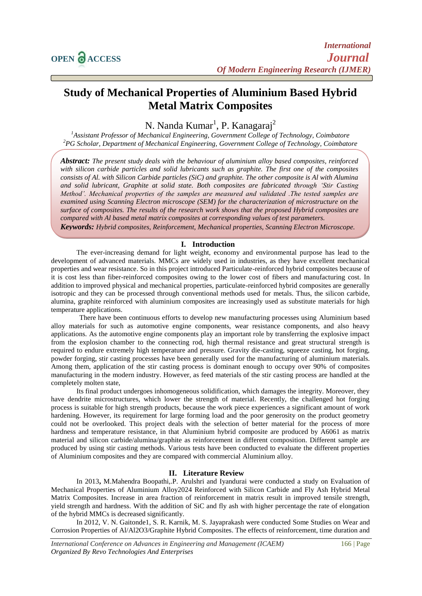# **Study of Mechanical Properties of Aluminium Based Hybrid Metal Matrix Composites**

N. Nanda Kumar<sup>1</sup>, P. Kanagaraj<sup>2</sup>

*<sup>1</sup>Assistant Professor of Mechanical Engineering, Government College of Technology, Coimbatore <sup>2</sup>PG Scholar, Department of Mechanical Engineering, Government College of Technology, Coimbatore*

*Abstract: The present study deals with the behaviour of aluminium alloy based composites, reinforced with silicon carbide particles and solid lubricants such as graphite. The first one of the composites consists of Al. with Silicon Carbide particles (SiC) and graphite. The other composite is Al with Alumina and solid lubricant, Graphite at solid state. Both composites are fabricated through 'Stir Casting Method'. Mechanical properties of the samples are measured and validated .The tested samples are examined using Scanning Electron microscope (SEM) for the characterization of microstructure on the surface of composites. The results of the research work shows that the proposed Hybrid composites are compared with Al based metal matrix composites at corresponding values of test parameters. Keywords: Hybrid composites, Reinforcement, Mechanical properties, Scanning Electron Microscope.*

## **I. Introduction**

The ever-increasing demand for light weight, economy and environmental purpose has lead to the development of advanced materials. MMCs are widely used in industries, as they have excellent mechanical properties and wear resistance. So in this project introduced Particulate-reinforced hybrid composites because of it is cost less than fiber-reinforced composites owing to the lower cost of fibers and manufacturing cost. In addition to improved physical and mechanical properties, particulate-reinforced hybrid composites are generally isotropic and they can be processed through conventional methods used for metals. Thus, the silicon carbide, alumina, graphite reinforced with aluminium composites are increasingly used as substitute materials for high temperature applications.

 There have been continuous efforts to develop new manufacturing processes using Aluminium based alloy materials for such as automotive engine components, wear resistance components, and also heavy applications. As the automotive engine components play an important role by transferring the explosive impact from the explosion chamber to the connecting rod, high thermal resistance and great structural strength is required to endure extremely high temperature and pressure. Gravity die-casting, squeeze casting, hot forging, powder forging, stir casting processes have been generally used for the manufacturing of aluminium materials. Among them, application of the stir casting process is dominant enough to occupy over 90% of composites manufacturing in the modern industry. However, as feed materials of the stir casting process are handled at the completely molten state,

Its final product undergoes inhomogeneous solidification, which damages the integrity. Moreover, they have dendrite microstructures, which lower the strength of material. Recently, the challenged hot forging process is suitable for high strength products, because the work piece experiences a significant amount of work hardening. However, its requirement for large forming load and the poor generosity on the product geometry could not be overlooked. This project deals with the selection of better material for the process of more hardness and temperature resistance, in that Aluminium hybrid composite are produced by A6061 as matrix material and silicon carbide/alumina/graphite as reinforcement in different composition. Different sample are produced by using stir casting methods. Various tests have been conducted to evaluate the different properties of Aluminium composites and they are compared with commercial Aluminium alloy.

## **II. Literature Review**

In 2013**,** M.Mahendra Boopathi,.P. Arulshri and Iyandurai were conducted a study on Evaluation of Mechanical Properties of Aluminium Alloy2024 Reinforced with Silicon Carbide and Fly Ash Hybrid Metal Matrix Composites. Increase in area fraction of reinforcement in matrix result in improved tensile strength, yield strength and hardness. With the addition of SiC and fly ash with higher percentage the rate of elongation of the hybrid MMCs is decreased significantly.

In 2012, V. N. Gaitonde1, S. R. Karnik, M. S. Jayaprakash were conducted Some Studies on Wear and Corrosion Properties of Al/Al2O3/Graphite Hybrid Composites. The effects of reinforcement, time duration and

*International Conference on Advances in Engineering and Management (ICAEM)* 166 | Page *Organized By Revo Technologies And Enterprises*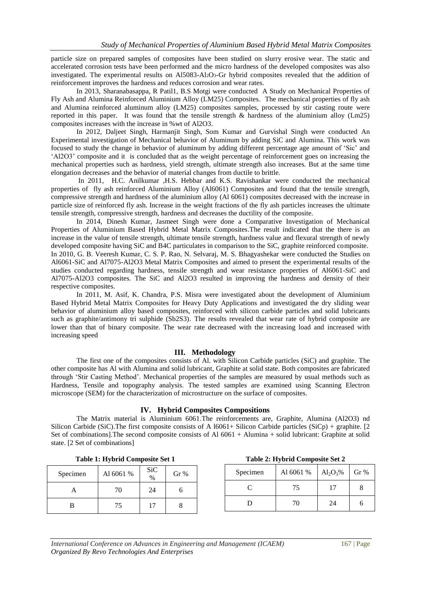particle size on prepared samples of composites have been studied on slurry erosive wear. The static and accelerated corrosion tests have been performed and the micro hardness of the developed composites was also investigated. The experimental results on Al5083-Al2O3-Gr hybrid composites revealed that the addition of reinforcement improves the hardness and reduces corrosion and wear rates.

In 2013, Sharanabasappa, R Patil1, B.S Motgi were conducted A Study on Mechanical Properties of Fly Ash and Alumina Reinforced Aluminium Alloy (LM25) Composites. The mechanical properties of fly ash and Alumina reinforced aluminum alloy (LM25) composites samples, processed by stir casting route were reported in this paper. It was found that the tensile strength & hardness of the aluminium alloy (Lm25) composites increases with the increase in %wt of Al2O3.

In 2012, Daljeet Singh, Harmanjit Singh, Som Kumar and Gurvishal Singh were conducted An Experimental investigation of Mechanical behavior of Aluminum by adding SiC and Alumina. This work was focused to study the change in behavior of aluminum by adding different percentage age amount of 'Sic' and 'Al2O3' composite and it is concluded that as the weight percentage of reinforcement goes on increasing the mechanical properties such as hardness, yield strength, ultimate strength also increases. But at the same time elongation decreases and the behavior of material changes from ductile to brittle.

In 2011, H.C. Anilkumar ,H.S. Hebbar and K.S. Ravishankar were conducted the mechanical properties of fly ash reinforced Aluminium Alloy (Al6061) Composites and found that the tensile strength, compressive strength and hardness of the aluminium alloy (Al 6061) composites decreased with the increase in particle size of reinforced fly ash. Increase in the weight fractions of the fly ash particles increases the ultimate tensile strength, compressive strength, hardness and decreases the ductility of the composite.

In 2014, Dinesh Kumar, Jasmeet Singh were done a Comparative Investigation of Mechanical Properties of Aluminium Based Hybrid Metal Matrix Composites.The result indicated that the there is an increase in the value of tensile strength, ultimate tensile strength, hardness value and flexural strength of newly developed composite having SiC and B4C particulates in comparison to the SiC, graphite reinforced composite. In 2010, G. B. Veeresh Kumar, C. S. P. Rao, N. Selvaraj, M. S. Bhagyashekar were conducted the Studies on Al6061-SiC and Al7075-Al2O3 Metal Matrix Composites and aimed to present the experimental results of the studies conducted regarding hardness, tensile strength and wear resistance properties of Al6061-SiC and Al7075-Al2O3 composites. The SiC and Al2O3 resulted in improving the hardness and density of their respective composites.

In 2011, M. Asif, K. Chandra, P.S. Misra were investigated about the development of Aluminium Based Hybrid Metal Matrix Composites for Heavy Duty Applications and investigated the dry sliding wear behavior of aluminium alloy based composites, reinforced with silicon carbide particles and solid lubricants such as graphite/antimony tri sulphide (Sb2S3). The results revealed that wear rate of hybrid composite are lower than that of binary composite. The wear rate decreased with the increasing load and increased with increasing speed

## **III. Methodology**

The first one of the composites consists of Al. with Silicon Carbide particles (SiC) and graphite. The other composite has Al with Alumina and solid lubricant, Graphite at solid state. Both composites are fabricated through 'Stir Casting Method'. Mechanical properties of the samples are measured by usual methods such as Hardness, Tensile and topography analysis. The tested samples are examined using Scanning Electron microscope (SEM) for the characterization of microstructure on the surface of composites.

# **IV. Hybrid Composites Compositions**

The Matrix material is Aluminium 6061.The reinforcements are, Graphite, Alumina (Al2O3) nd Silicon Carbide (SiC).The first composite consists of A l6061+ Silicon Carbide particles (SiCp) + graphite. [2 Set of combinations].The second composite consists of Al 6061 + Alumina + solid lubricant: Graphite at solid state. [2 Set of combinations]

|  | Table 1: Hybrid Composite Set 1 |
|--|---------------------------------|
|--|---------------------------------|

| Specimen | Al 6061 % | <b>SiC</b><br>$\frac{9}{6}$ | Gr% |
|----------|-----------|-----------------------------|-----|
|          | 70        | 24                          |     |
| R        | 75        | 17                          |     |

| Table 1: Hybrid Composite Set 1 | Table 2: Hybrid Composite Set 2 |
|---------------------------------|---------------------------------|
|                                 |                                 |

| Specimen | Al 6061 % | $Al_2O_3\%$ | Gr % |
|----------|-----------|-------------|------|
|          | 75        | 17          |      |
|          | 70        | 24          |      |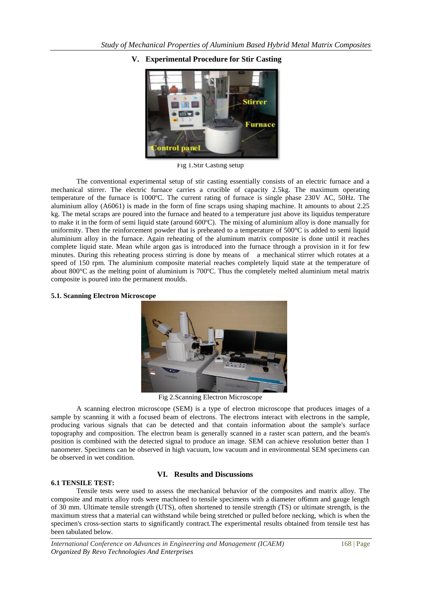

**V. Experimental Procedure for Stir Casting**

Fig 1.Stir Casting setup

The conventional experimental setup of stir casting essentially consists of an electric furnace and a mechanical stirrer. The electric furnace carries a crucible of capacity 2.5kg. The maximum operating temperature of the furnace is 1000ºC. The current rating of furnace is single phase 230V AC, 50Hz. The aluminium alloy (A6061) is made in the form of fine scraps using shaping machine. It amounts to about 2.25 kg. The metal scraps are poured into the furnace and heated to a temperature just above its liquidus temperature to make it in the form of semi liquid state (around 600ºC). The mixing of aluminium alloy is done manually for uniformity. Then the reinforcement powder that is preheated to a temperature of  $500^{\circ}$ C is added to semi liquid aluminium alloy in the furnace. Again reheating of the aluminum matrix composite is done until it reaches complete liquid state. Mean while argon gas is introduced into the furnace through a provision in it for few minutes. During this reheating process stirring is done by means of a mechanical stirrer which rotates at a speed of 150 rpm. The aluminium composite material reaches completely liquid state at the temperature of about 800°C as the melting point of aluminium is 700ºC. Thus the completely melted aluminium metal matrix composite is poured into the permanent moulds.

## **5.1. Scanning Electron Microscope**



Fig 2.Scanning Electron Microscope

A scanning electron microscope (SEM) is a type of [electron microscope](http://en.wikipedia.org/wiki/Electron_microscope) that produces images of a sample by scanning it with a focused beam of [electrons.](http://en.wikipedia.org/wiki/Electron) The electrons interact with electrons in the sample, producing various signals that can be detected and that contain information about the sample's surface [topography](http://en.wikipedia.org/wiki/Topography) and composition. The electron beam is generally scanned in a [raster scan](http://en.wikipedia.org/wiki/Raster_scan) pattern, and the beam's position is combined with the detected signal to produce an image. SEM can achieve resolution better than 1 nanometer. Specimens can be observed in high vacuum, low vacuum and in environmental SEM specimens can be observed in wet condition.

## **VI. Results and Discussions**

## **6.1 TENSILE TEST:**

Tensile tests were used to assess the mechanical behavior of the composites and matrix alloy. The composite and matrix alloy rods were machined to tensile specimens with a diameter of6mm and gauge length of 30 mm. Ultimate tensile strength (UTS), often shortened to tensile strength (TS) or ultimate strength, is the maximum stress that a material can withstand while being stretched or pulled before necking, which is when the specimen's cross-section starts to significantly contract.The experimental results obtained from tensile test has been tabulated below.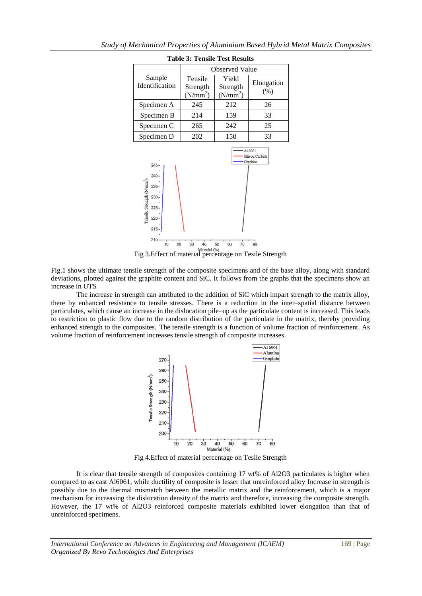| <b>Table 3: Tensile Test Results</b> |                                             |                                           |                                        |
|--------------------------------------|---------------------------------------------|-------------------------------------------|----------------------------------------|
|                                      | <b>Observed Value</b>                       |                                           |                                        |
| Sample<br><b>Identification</b>      | Tensile<br>Strength<br>(N/mm <sup>2</sup> ) | Yield<br>Strength<br>(N/mm <sup>2</sup> ) | Elongation<br>(% )                     |
| Specimen A                           | 245                                         | 212                                       | 26                                     |
| Specimen B                           | 214                                         | 159                                       | 33                                     |
| Specimen C                           | 265                                         | 242                                       | 25                                     |
| Specimen D                           | 202                                         | 150                                       | 33                                     |
| $245 -$<br>240                       |                                             |                                           | Al 6061<br>Silicon Carbide<br>Graphite |



Material (%)<br>Fig 3. Effect of material percentage on Tesile Strength

Fig.1 shows the ultimate tensile strength of the composite specimens and of the base alloy, along with standard deviations, plotted against the graphite content and SiC. It follows from the graphs that the specimens show an increase in UTS

The increase in strength can attributed to the addition of SiC which impart strength to the matrix alloy, there by enhanced resistance to tensile stresses. There is a reduction in the inter–spatial distance between particulates, which cause an increase in the dislocation pile–up as the particulate content is increased. This leads to restriction to plastic flow due to the random distribution of the particulate in the matrix, thereby providing enhanced strength to the composites. The tensile strength is a function of volume fraction of reinforcement. As volume fraction of reinforcement increases tensile strength of composite increases.



Fig 4.Effect of material percentage on Tesile Strength

It is clear that tensile strength of composites containing 17 wt% of Al2O3 particulates is higher when compared to as cast Al6061, while ductility of composite is lesser that unreinforced alloy Increase in strength is possibly due to the thermal mismatch between the metallic matrix and the reinforcement, which is a major mechanism for increasing the dislocation density of the matrix and therefore, increasing the composite strength. However, the 17 wt% of Al2O3 reinforced composite materials exhibited lower elongation than that of unreinforced specimens.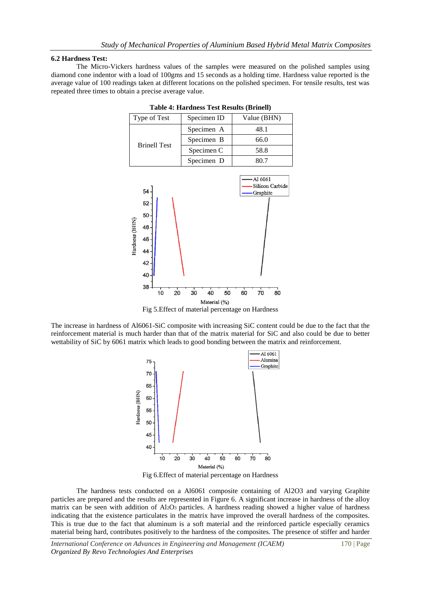#### **6.2 Hardness Test:**

The Micro-Vickers hardness values of the samples were measured on the polished samples using diamond cone indentor with a load of 100gms and 15 seconds as a holding time. Hardness value reported is the average value of 100 readings taken at different locations on the polished specimen. For tensile results, test was repeated three times to obtain a precise average value.

| Type of Test        | Specimen ID | Value (BHN)                |
|---------------------|-------------|----------------------------|
| <b>Brinell Test</b> | Specimen A  | 48.1                       |
|                     | Specimen B  | 66.0                       |
|                     | Specimen C  | 58.8                       |
|                     | Specimen D  | 80.7                       |
| cа                  |             | A1 6061<br>Silicon Carbide |

**Table 4: Hardness Test Results (Brinell)**



Fig 5.Effect of material percentage on Hardness

The increase in hardness of Al6061-SiC composite with increasing SiC content could be due to the fact that the reinforcement material is much harder than that of the matrix material for SiC and also could be due to better wettability of SiC by 6061 matrix which leads to good bonding between the matrix and reinforcement.



Fig 6.Effect of material percentage on Hardness

The hardness tests conducted on a Al6061 composite containing of Al2O3 and varying Graphite particles are prepared and the results are represented in Figure 6. A significant increase in hardness of the alloy matrix can be seen with addition of  $Al_2O_3$  particles. A hardness reading showed a higher value of hardness indicating that the existence particulates in the matrix have improved the overall hardness of the composites. This is true due to the fact that aluminum is a soft material and the reinforced particle especially ceramics material being hard, contributes positively to the hardness of the composites. The presence of stiffer and harder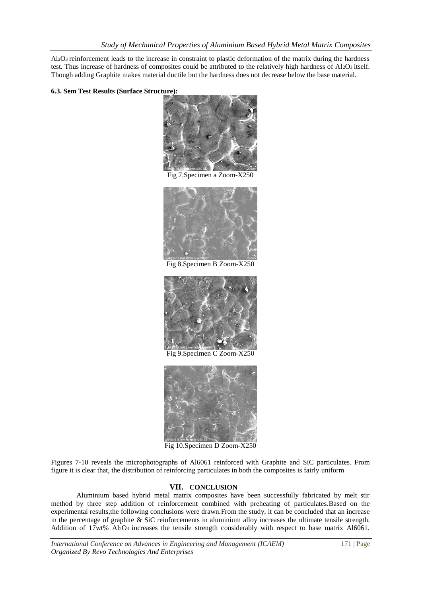Al2O3 reinforcement leads to the increase in constraint to plastic deformation of the matrix during the hardness test. Thus increase of hardness of composites could be attributed to the relatively high hardness of Al2O3 itself. Though adding Graphite makes material ductile but the hardness does not decrease below the base material.

## **6.3. Sem Test Results (Surface Structure):**



Fig 7.Specimen a Zoom-X250



Fig 8.Specimen B Zoom-X250



Fig 9.Specimen C Zoom-X250



Fig 10.Specimen D Zoom-X250

Figures 7-10 reveals the microphotographs of Al6061 reinforced with Graphite and SiC particulates. From figure it is clear that, the distribution of reinforcing particulates in both the composites is fairly uniform

## **VII. CONCLUSION**

Aluminium based hybrid metal matrix composites have been successfully fabricated by melt stir method by three step addition of reinforcement combined with preheating of particulates.Based on the experimental results,the following conclusions were drawn.From the study, it can be concluded that an increase in the percentage of graphite  $\&$  SiC reinforcements in aluminium alloy increases the ultimate tensile strength. Addition of 17wt% Al2O3 increases the tensile strength considerably with respect to base matrix Al6061.